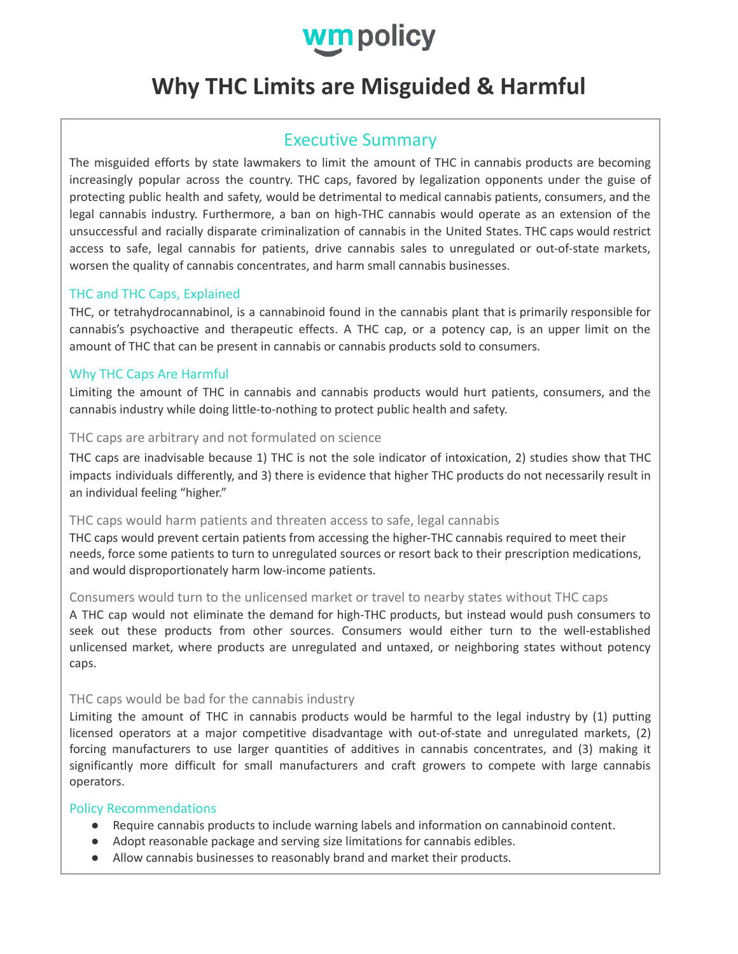

# **Why THC Limits are Misguided & Harmful**

## Executive Summary

The misguided efforts by state lawmakers to limit the amount of THC in cannabis products are becoming increasingly popular across the country. THC caps, favored by legalization opponents under the guise of protecting public health and safety, would be detrimental to medical cannabis patients, consumers, and the legal cannabis industry. Furthermore, a ban on high-THC cannabis would operate as an extension of the unsuccessful and racially disparate criminalization of cannabis in the United States. THC caps would restrict access to safe, legal cannabis for patients, drive cannabis sales to unregulated or out-of-state markets, worsen the quality of cannabis concentrates, and harm small cannabis businesses.

#### THC and THC Caps, Explained

THC, or tetrahydrocannabinol, is a cannabinoid found in the cannabis plant that is primarily responsible for cannabis's psychoactive and therapeutic effects. A THC cap, or a potency cap, is an upper limit on the amount of THC that can be present in cannabis or cannabis products sold to consumers.

#### Why THC Caps Are Harmful

Limiting the amount of THC in cannabis and cannabis products would hurt patients, consumers, and the cannabis industry while doing little-to-nothing to protect public health and safety.

#### THC caps are arbitrary and not formulated on science

THC caps are inadvisable because 1) THC is not the sole indicator of intoxication, 2) studies show that THC impacts individuals differently, and 3) there is evidence that higher THC products do not necessarily result in an individual feeling "higher."

#### THC caps would harm patients and threaten access to safe, legal cannabis

THC caps would prevent certain patients from accessing the higher-THC cannabis required to meet their needs, force some patients to turn to unregulated sources or resort back to their prescription medications, and would disproportionately harm low-income patients.

#### Consumers would turn to the unlicensed market or travel to nearby states without THC caps

A THC cap would not eliminate the demand for high-THC products, but instead would push consumers to seek out these products from other sources. Consumers would either turn to the well-established unlicensed market, where products are unregulated and untaxed, or neighboring states without potency caps.

#### THC caps would be bad for the cannabis industry

Limiting the amount of THC in cannabis products would be harmful to the legal industry by (1) putting licensed operators at a major competitive disadvantage with out-of-state and unregulated markets, (2) forcing manufacturers to use larger quantities of additives in cannabis concentrates, and (3) making it significantly more difficult for small manufacturers and craft growers to compete with large cannabis operators.

#### Policy Recommendations

- Require cannabis products to include warning labels and information on cannabinoid content.
- Adopt reasonable package and serving size limitations for cannabis edibles.
- Allow cannabis businesses to reasonably brand and market their products.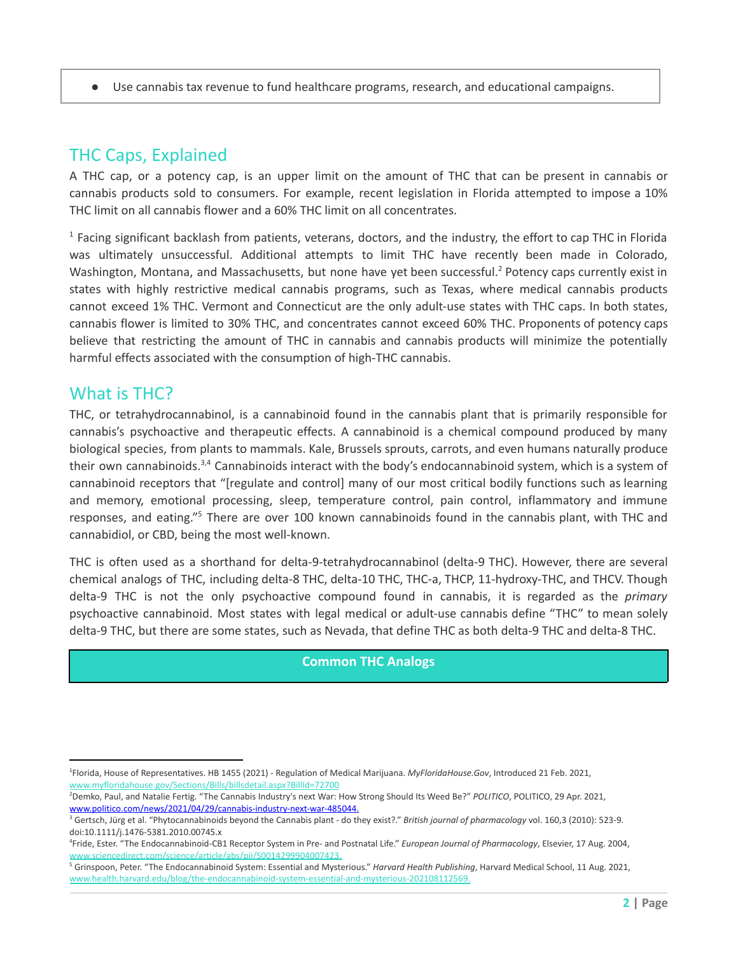● Use cannabis tax revenue to fund healthcare programs, research, and educational campaigns.

## THC Caps, Explained

A THC cap, or a potency cap, is an upper limit on the amount of THC that can be present in cannabis or cannabis products sold to consumers. For example, recent legislation in Florida attempted to impose a 10% THC limit on all cannabis flower and a 60% THC limit on all concentrates.

 $1$  Facing significant backlash from patients, veterans, doctors, and the industry, the effort to cap THC in Florida was ultimately unsuccessful. Additional attempts to limit THC have recently been made in Colorado, Washington, Montana, and Massachusetts, but none have yet been successful.<sup>2</sup> Potency caps currently exist in states with highly restrictive medical cannabis programs, such as Texas, where medical cannabis products cannot exceed 1% THC. Vermont and Connecticut are the only adult-use states with THC caps. In both states, cannabis flower is limited to 30% THC, and concentrates cannot exceed 60% THC. Proponents of potency caps believe that restricting the amount of THC in cannabis and cannabis products will minimize the potentially harmful effects associated with the consumption of high-THC cannabis.

## What is THC?

THC, or tetrahydrocannabinol, is a cannabinoid found in the cannabis plant that is primarily responsible for cannabis's psychoactive and therapeutic effects. A cannabinoid is a chemical compound produced by many biological species, from plants to mammals. Kale, Brussels sprouts, carrots, and even humans naturally produce their own cannabinoids.<sup>3,4</sup> Cannabinoids interact with the body's endocannabinoid system, which is a system of cannabinoid receptors that "[regulate and control] many of our most critical bodily functions such as learning and memory, emotional processing, sleep, temperature control, pain control, inflammatory and immune responses, and eating."<sup>5</sup> There are over 100 known cannabinoids found in the cannabis plant, with THC and cannabidiol, or CBD, being the most well-known.

THC is often used as a shorthand for delta-9-tetrahydrocannabinol (delta-9 THC). However, there are several chemical analogs of THC, including delta-8 THC, delta-10 THC, THC-a, THCP, 11-hydroxy-THC, and THCV. Though delta-9 THC is not the only psychoactive compound found in cannabis, it is regarded as the *primary* psychoactive cannabinoid. Most states with legal medical or adult-use cannabis define "THC" to mean solely delta-9 THC, but there are some states, such as Nevada, that define THC as both delta-9 THC and delta-8 THC.

#### **Common THC Analogs**

<sup>1</sup>Florida, House of Representatives. HB 1455 (2021) - Regulation of Medical Marijuana. *MyFloridaHouse.Gov*, Introduced 21 Feb. 2021, [www.myfloridahouse.gov/Sections/Bills/billsdetail.aspx?BillId=72700](http://www.myfloridahouse.gov/Sections/Bills/billsdetail.aspx?BillId=72700)

<sup>2</sup>Demko, Paul, and Natalie Fertig. "The Cannabis Industry's next War: How Strong Should Its Weed Be?" *POLITICO*, POLITICO, 29 Apr. 2021, [www.politico.com/news/2021/04/29/cannabis-industry-next-war-485044.](http://www.politico.com/news/2021/04/29/cannabis-industry-next-war-485044.)

<sup>3</sup> Gertsch, Jürg et al. "Phytocannabinoids beyond the Cannabis plant - do they exist?." *British journal of pharmacology* vol. 160,3 (2010): 523-9. doi:10.1111/j.1476-5381.2010.00745.x

<sup>4</sup>Fride, Ester. "The Endocannabinoid-CB1 Receptor System in Pre- and Postnatal Life." *European Journal of Pharmacology*, Elsevier, 17 Aug. 2004, [www.sciencedirect.com/science/article/abs/pii/S0014299904007423.](http://www.sciencedirect.com/science/article/abs/pii/S0014299904007423.)

<sup>5</sup> Grinspoon, Peter. "The Endocannabinoid System: Essential and Mysterious." *Harvard Health Publishing*, Harvard Medical School, 11 Aug. 2021, [www.health.harvard.edu/blog/the-endocannabinoid-system-essential-and-mysterious-202108112569.](http://www.health.harvard.edu/blog/the-endocannabinoid-system-essential-and-mysterious-202108112569.)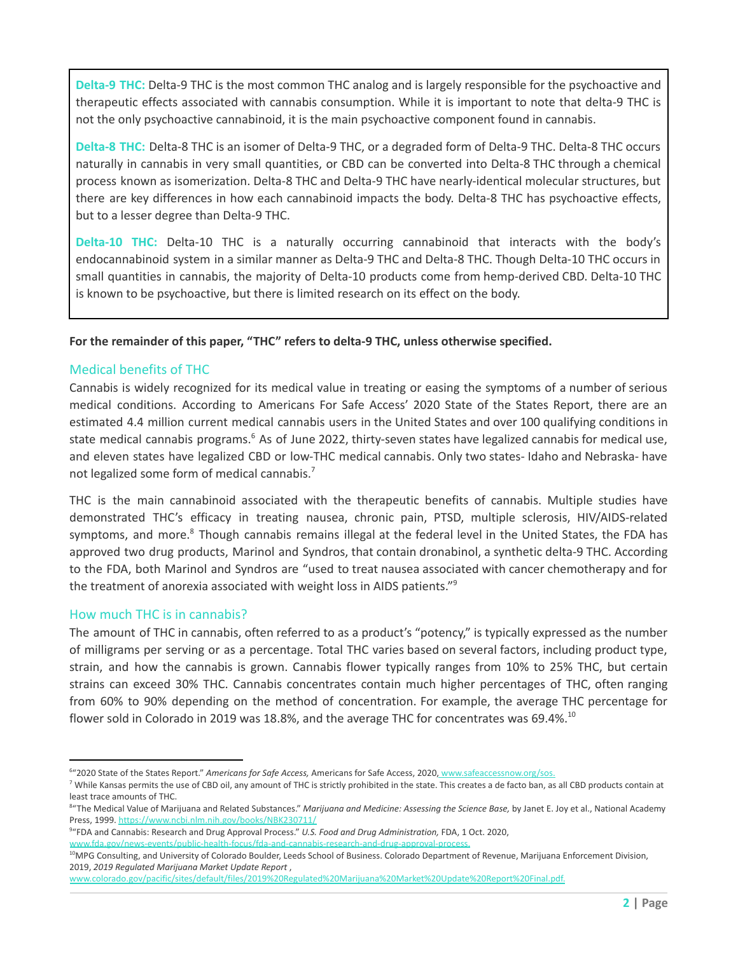**Delta-9 THC:** Delta-9 THC is the most common THC analog and is largely responsible for the psychoactive and therapeutic effects associated with cannabis consumption. While it is important to note that delta-9 THC is not the only psychoactive cannabinoid, it is the main psychoactive component found in cannabis.

**Delta-8 THC:** Delta-8 THC is an isomer of Delta-9 THC, or a degraded form of Delta-9 THC. Delta-8 THC occurs naturally in cannabis in very small quantities, or CBD can be converted into Delta-8 THC through a chemical process known as isomerization. Delta-8 THC and Delta-9 THC have nearly-identical molecular structures, but there are key differences in how each cannabinoid impacts the body. Delta-8 THC has psychoactive effects, but to a lesser degree than Delta-9 THC.

**Delta-10 THC:** Delta-10 THC is a naturally occurring cannabinoid that interacts with the body's endocannabinoid system in a similar manner as Delta-9 THC and Delta-8 THC. Though Delta-10 THC occurs in small quantities in cannabis, the majority of Delta-10 products come from hemp-derived CBD. Delta-10 THC is known to be psychoactive, but there is limited research on its effect on the body.

#### **For the remainder of this paper, "THC" refers to delta-9 THC, unless otherwise specified.**

#### Medical benefits of THC

Cannabis is widely recognized for its medical value in treating or easing the symptoms of a number of serious medical conditions. According to Americans For Safe Access' 2020 State of the States Report, there are an estimated 4.4 million current medical cannabis users in the United States and over 100 qualifying conditions in state medical cannabis programs.<sup>6</sup> As of June 2022, thirty-seven states have legalized cannabis for medical use, and eleven states have legalized CBD or low-THC medical cannabis. Only two states- Idaho and Nebraska- have not legalized some form of medical cannabis. 7

THC is the main cannabinoid associated with the therapeutic benefits of cannabis. Multiple studies have demonstrated THC's efficacy in treating nausea, chronic pain, PTSD, multiple sclerosis, HIV/AIDS-related symptoms, and more.<sup>8</sup> Though cannabis remains illegal at the federal level in the United States, the FDA has approved two drug products, Marinol and Syndros, that contain dronabinol, a synthetic delta-9 THC. According to the FDA, both Marinol and Syndros are "used to treat nausea associated with cancer chemotherapy and for the treatment of anorexia associated with weight loss in AIDS patients."<sup>9</sup>

#### How much THC is in cannabis?

The amount of THC in cannabis, often referred to as a product's "potency," is typically expressed as the number of milligrams per serving or as a percentage. Total THC varies based on several factors, including product type, strain, and how the cannabis is grown. Cannabis flower typically ranges from 10% to 25% THC, but certain strains can exceed 30% THC. Cannabis concentrates contain much higher percentages of THC, often ranging from 60% to 90% depending on the method of concentration. For example, the average THC percentage for flower sold in Colorado in 2019 was 18.8%, and the average THC for concentrates was 69.4%.<sup>10</sup>

<sup>6</sup>"2020 State of the States Report." *Americans for Safe Access,* Americans for Safe Access, 2020, [www.safeaccessnow.org/sos.](http://www.safeaccessnow.org/sos.)

<sup>&</sup>lt;sup>7</sup> While Kansas permits the use of CBD oil, any amount of THC is strictly prohibited in the state. This creates a de facto ban, as all CBD products contain at least trace amounts of THC.

<sup>8</sup>"The Medical Value of Marijuana and Related Substances." *Marijuana and Medicine: Assessing the Science Base,* by Janet E. Joy et al., National Academy Press, 1999. <https://www.ncbi.nlm.nih.gov/books/NBK230711/>

<sup>9</sup>"FDA and Cannabis: Research and Drug Approval Process." *U.S. Food and Drug Administration,* FDA, 1 Oct. 2020,

[www.fda.gov/news-events/public-health-focus/fda-and-cannabis-research-and-drug-approval-process.](http://www.fda.gov/news-events/public-health-focus/fda-and-cannabis-research-and-drug-approval-process.)

<sup>&</sup>lt;sup>10</sup>MPG Consulting, and University of Colorado Boulder, Leeds School of Business. Colorado Department of Revenue, Marijuana Enforcement Division, 2019, *2019 Regulated Marijuana Market Update Report* ,

[www.colorado.gov/pacific/sites/default/files/2019%20Regulated%20Marijuana%20Market%20Update%20Report%20Final.pdf.](http://www.colorado.gov/pacific/sites/default/files/2019%20Regulated%20Marijuana%20Market%20Update%20Report%20Final.pdf.)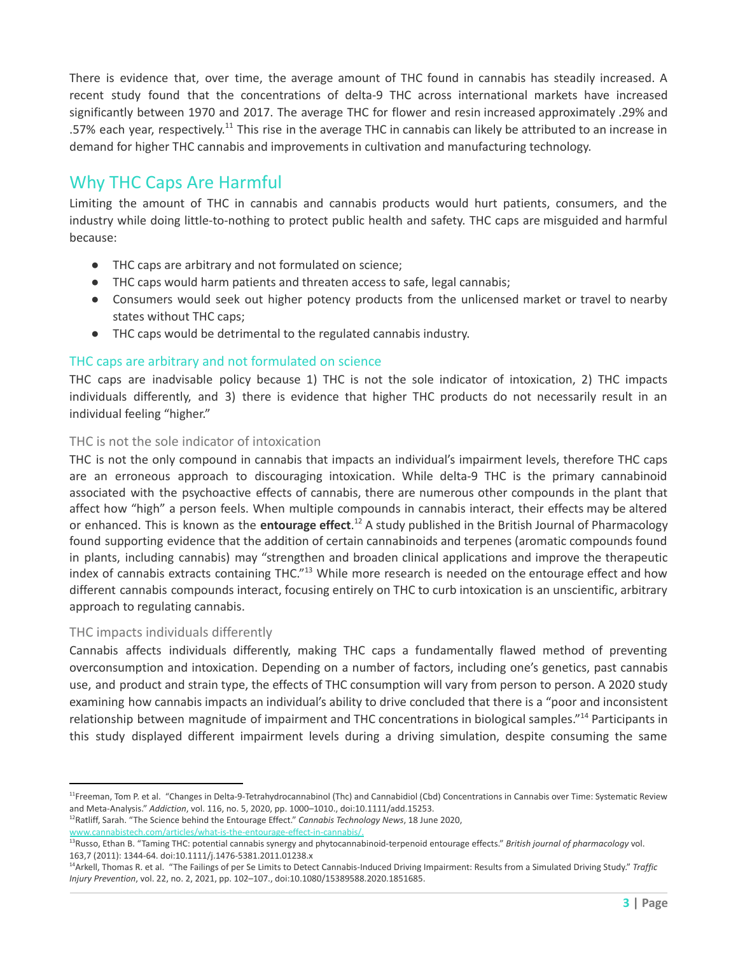There is evidence that, over time, the average amount of THC found in cannabis has steadily increased. A recent study found that the concentrations of delta-9 THC across international markets have increased significantly between 1970 and 2017. The average THC for flower and resin increased approximately .29% and .57% each year, respectively.<sup>11</sup> This rise in the average THC in cannabis can likely be attributed to an increase in demand for higher THC cannabis and improvements in cultivation and manufacturing technology.

## Why THC Caps Are Harmful

Limiting the amount of THC in cannabis and cannabis products would hurt patients, consumers, and the industry while doing little-to-nothing to protect public health and safety. THC caps are misguided and harmful because:

- THC caps are arbitrary and not formulated on science;
- THC caps would harm patients and threaten access to safe, legal cannabis;
- Consumers would seek out higher potency products from the unlicensed market or travel to nearby states without THC caps;
- THC caps would be detrimental to the regulated cannabis industry.

#### THC caps are arbitrary and not formulated on science

THC caps are inadvisable policy because 1) THC is not the sole indicator of intoxication, 2) THC impacts individuals differently, and 3) there is evidence that higher THC products do not necessarily result in an individual feeling "higher."

#### THC is not the sole indicator of intoxication

THC is not the only compound in cannabis that impacts an individual's impairment levels, therefore THC caps are an erroneous approach to discouraging intoxication. While delta-9 THC is the primary cannabinoid associated with the psychoactive effects of cannabis, there are numerous other compounds in the plant that affect how "high" a person feels. When multiple compounds in cannabis interact, their effects may be altered or enhanced. This is known as the *entourage effect*.<sup>12</sup> A study published in the British Journal of Pharmacology found supporting evidence that the addition of certain cannabinoids and terpenes (aromatic compounds found in plants, including cannabis) may "strengthen and broaden clinical applications and improve the therapeutic index of cannabis extracts containing THC."<sup>13</sup> While more research is needed on the entourage effect and how different cannabis compounds interact, focusing entirely on THC to curb intoxication is an unscientific, arbitrary approach to regulating cannabis.

#### THC impacts individuals differently

Cannabis affects individuals differently, making THC caps a fundamentally flawed method of preventing overconsumption and intoxication. Depending on a number of factors, including one's genetics, past cannabis use, and product and strain type, the effects of THC consumption will vary from person to person. A 2020 study examining how cannabis impacts an individual's ability to drive concluded that there is a "poor and inconsistent relationship between magnitude of impairment and THC concentrations in biological samples."<sup>14</sup> Participants in this study displayed different impairment levels during a driving simulation, despite consuming the same

<sup>&</sup>lt;sup>11</sup>Freeman, Tom P. et al. "Changes in Delta-9-Tetrahydrocannabinol (Thc) and Cannabidiol (Cbd) Concentrations in Cannabis over Time: Systematic Review and Meta‐Analysis." *Addiction*, vol. 116, no. 5, 2020, pp. 1000–1010., doi:10.1111/add.15253.

<sup>12</sup>Ratliff, Sarah. "The Science behind the Entourage Effect." *Cannabis Technology News*, 18 June 2020,

[www.cannabistech.com/articles/what-is-the-entourage-effect-in-cannabis/.](http://www.cannabistech.com/articles/what-is-the-entourage-effect-in-cannabis/.)

<sup>13</sup>Russo, Ethan B. "Taming THC: potential cannabis synergy and phytocannabinoid-terpenoid entourage effects." *British journal of pharmacology* vol. 163,7 (2011): 1344-64. doi:10.1111/j.1476-5381.2011.01238.x

<sup>14</sup>Arkell, Thomas R. et al. "The Failings of per Se Limits to Detect Cannabis-Induced Driving Impairment: Results from a Simulated Driving Study." *Traffic Injury Prevention*, vol. 22, no. 2, 2021, pp. 102–107., doi:10.1080/15389588.2020.1851685.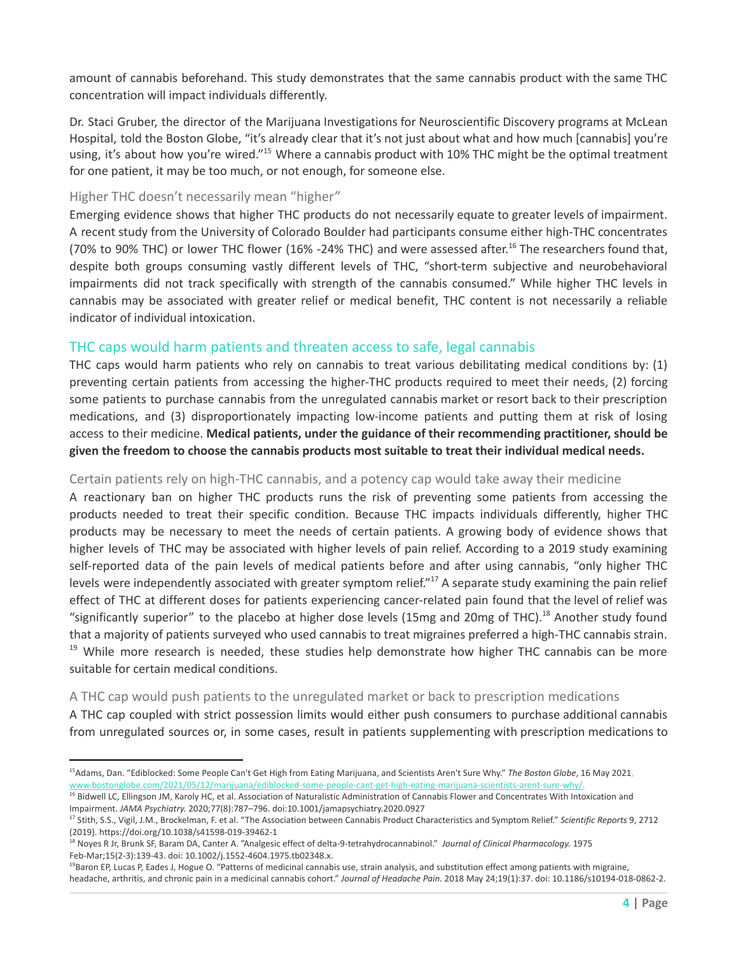amount of cannabis beforehand. This study demonstrates that the same cannabis product with the same THC concentration will impact individuals differently.

Dr. Staci Gruber, the director of the Marijuana Investigations for Neuroscientific Discovery programs at McLean Hospital, told the Boston Globe, "it's already clear that it's not just about what and how much [cannabis] you're using, it's about how you're wired."<sup>15</sup> Where a cannabis product with 10% THC might be the optimal treatment for one patient, it may be too much, or not enough, for someone else.

#### Higher THC doesn't necessarily mean "higher"

Emerging evidence shows that higher THC products do not necessarily equate to greater levels of impairment. A recent study from the University of Colorado Boulder had participants consume either high-THC concentrates (70% to 90% THC) or lower THC flower (16% -24% THC) and were assessed after.<sup>16</sup> The researchers found that, despite both groups consuming vastly different levels of THC, "short-term subjective and neurobehavioral impairments did not track specifically with strength of the cannabis consumed." While higher THC levels in cannabis may be associated with greater relief or medical benefit, THC content is not necessarily a reliable indicator of individual intoxication.

#### THC caps would harm patients and threaten access to safe, legal cannabis

THC caps would harm patients who rely on cannabis to treat various debilitating medical conditions by: (1) preventing certain patients from accessing the higher-THC products required to meet their needs, (2) forcing some patients to purchase cannabis from the unregulated cannabis market or resort back to their prescription medications, and (3) disproportionately impacting low-income patients and putting them at risk of losing access to their medicine. **Medical patients, under the guidance of their recommending practitioner, should be given the freedom to choose the cannabis products most suitable to treat their individual medical needs.**

#### Certain patients rely on high-THC cannabis, and a potency cap would take away their medicine

A reactionary ban on higher THC products runs the risk of preventing some patients from accessing the products needed to treat their specific condition. Because THC impacts individuals differently, higher THC products may be necessary to meet the needs of certain patients. A growing body of evidence shows that higher levels of THC may be associated with higher levels of pain relief. According to a 2019 study examining self-reported data of the pain levels of medical patients before and after using cannabis, "only higher THC levels were independently associated with greater symptom relief."<sup>17</sup> A separate study examining the pain relief effect of THC at different doses for patients experiencing cancer-related pain found that the level of relief was "significantly superior" to the placebo at higher dose levels (15mg and 20mg of THC).<sup>18</sup> Another study found that a majority of patients surveyed who used cannabis to treat migraines preferred a high-THC cannabis strain. <sup>19</sup> While more research is needed, these studies help demonstrate how higher THC cannabis can be more suitable for certain medical conditions.

#### A THC cap would push patients to the unregulated market or back to prescription medications

A THC cap coupled with strict possession limits would either push consumers to purchase additional cannabis from unregulated sources or, in some cases, result in patients supplementing with prescription medications to

<sup>15</sup>Adams, Dan. "Ediblocked: Some People Can't Get High from Eating Marijuana, and Scientists Aren't Sure Why." *The Boston Globe*, 16 May 2021, [www.bostonglobe.com/2021/05/12/marijuana/ediblocked-some-people-cant-get-high-eating-marijuana-scientists-arent-sure-why/.](http://www.bostonglobe.com/2021/05/12/marijuana/ediblocked-some-people-cant-get-high-eating-marijuana-scientists-arent-sure-why/.)

<sup>&</sup>lt;sup>16</sup> Bidwell LC, Ellingson JM, Karoly HC, et al. Association of Naturalistic Administration of Cannabis Flower and Concentrates With Intoxication and Impairment. *JAMA Psychiatry.* 2020;77(8):787–796. doi:10.1001/jamapsychiatry.2020.0927

<sup>17</sup> Stith, S.S., Vigil, J.M., Brockelman, F. et al. "The Association between Cannabis Product Characteristics and Symptom Relief." *Scientific Reports* 9, 2712 (2019). https://doi.org/10.1038/s41598-019-39462-1

<sup>18</sup> Noyes R Jr, Brunk SF, Baram DA, Canter A. "Analgesic effect of delta-9-tetrahydrocannabinol." *Journal of Clinical Pharmacology.* 1975 Feb-Mar;15(2-3):139-43. doi: 10.1002/j.1552-4604.1975.tb02348.x.

<sup>&</sup>lt;sup>19</sup>Baron EP, Lucas P, Eades J, Hogue O. "Patterns of medicinal cannabis use, strain analysis, and substitution effect among patients with migraine, headache, arthritis, and chronic pain in a medicinal cannabis cohort." *Journal of Headache Pain.* 2018 May 24;19(1):37. doi: 10.1186/s10194-018-0862-2.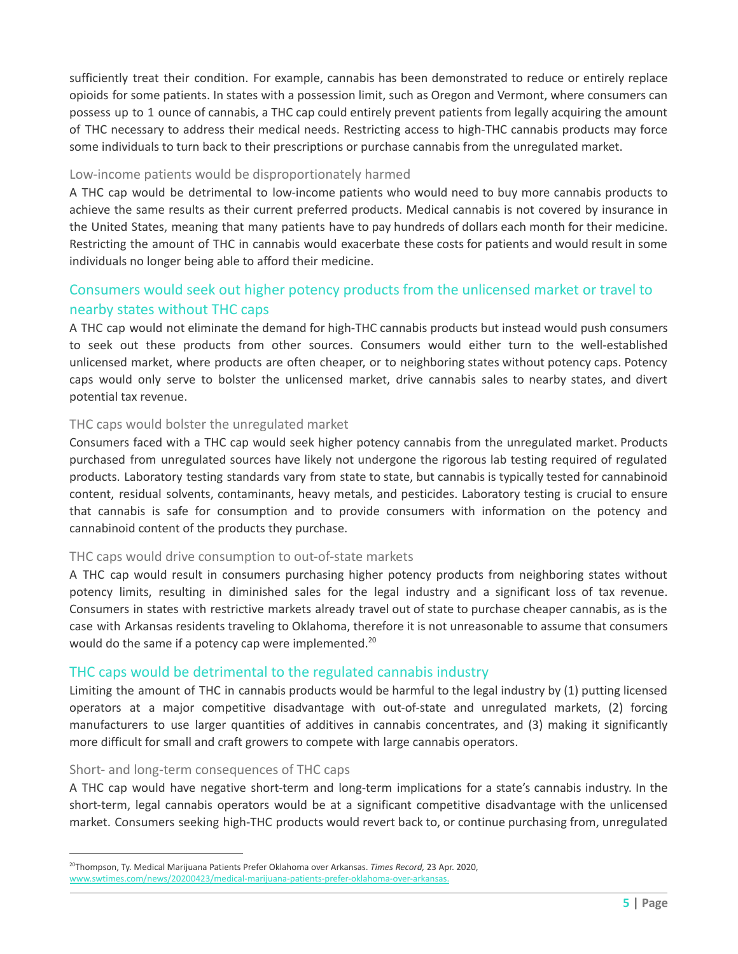sufficiently treat their condition. For example, cannabis has been demonstrated to reduce or entirely replace opioids for some patients. In states with a possession limit, such as Oregon and Vermont, where consumers can possess up to 1 ounce of cannabis, a THC cap could entirely prevent patients from legally acquiring the amount of THC necessary to address their medical needs. Restricting access to high-THC cannabis products may force some individuals to turn back to their prescriptions or purchase cannabis from the unregulated market.

#### Low-income patients would be disproportionately harmed

A THC cap would be detrimental to low-income patients who would need to buy more cannabis products to achieve the same results as their current preferred products. Medical cannabis is not covered by insurance in the United States, meaning that many patients have to pay hundreds of dollars each month for their medicine. Restricting the amount of THC in cannabis would exacerbate these costs for patients and would result in some individuals no longer being able to afford their medicine.

### Consumers would seek out higher potency products from the unlicensed market or travel to nearby states without THC caps

A THC cap would not eliminate the demand for high-THC cannabis products but instead would push consumers to seek out these products from other sources. Consumers would either turn to the well-established unlicensed market, where products are often cheaper, or to neighboring states without potency caps. Potency caps would only serve to bolster the unlicensed market, drive cannabis sales to nearby states, and divert potential tax revenue.

#### THC caps would bolster the unregulated market

Consumers faced with a THC cap would seek higher potency cannabis from the unregulated market. Products purchased from unregulated sources have likely not undergone the rigorous lab testing required of regulated products. Laboratory testing standards vary from state to state, but cannabis is typically tested for cannabinoid content, residual solvents, contaminants, heavy metals, and pesticides. Laboratory testing is crucial to ensure that cannabis is safe for consumption and to provide consumers with information on the potency and cannabinoid content of the products they purchase.

#### THC caps would drive consumption to out-of-state markets

A THC cap would result in consumers purchasing higher potency products from neighboring states without potency limits, resulting in diminished sales for the legal industry and a significant loss of tax revenue. Consumers in states with restrictive markets already travel out of state to purchase cheaper cannabis, as is the case with Arkansas residents traveling to Oklahoma, therefore it is not unreasonable to assume that consumers would do the same if a potency cap were implemented.<sup>20</sup>

#### THC caps would be detrimental to the regulated cannabis industry

Limiting the amount of THC in cannabis products would be harmful to the legal industry by (1) putting licensed operators at a major competitive disadvantage with out-of-state and unregulated markets, (2) forcing manufacturers to use larger quantities of additives in cannabis concentrates, and (3) making it significantly more difficult for small and craft growers to compete with large cannabis operators.

#### Short- and long-term consequences of THC caps

A THC cap would have negative short-term and long-term implications for a state's cannabis industry. In the short-term, legal cannabis operators would be at a significant competitive disadvantage with the unlicensed market. Consumers seeking high-THC products would revert back to, or continue purchasing from, unregulated

<sup>20</sup>Thompson, Ty. Medical Marijuana Patients Prefer Oklahoma over Arkansas. *Times Record,* 23 Apr. 2020, [www.swtimes.com/news/20200423/medical-marijuana-patients-prefer-oklahoma-over-arkansas.](http://www.swtimes.com/news/20200423/medical-marijuana-patients-prefer-oklahoma-over-arkansas.)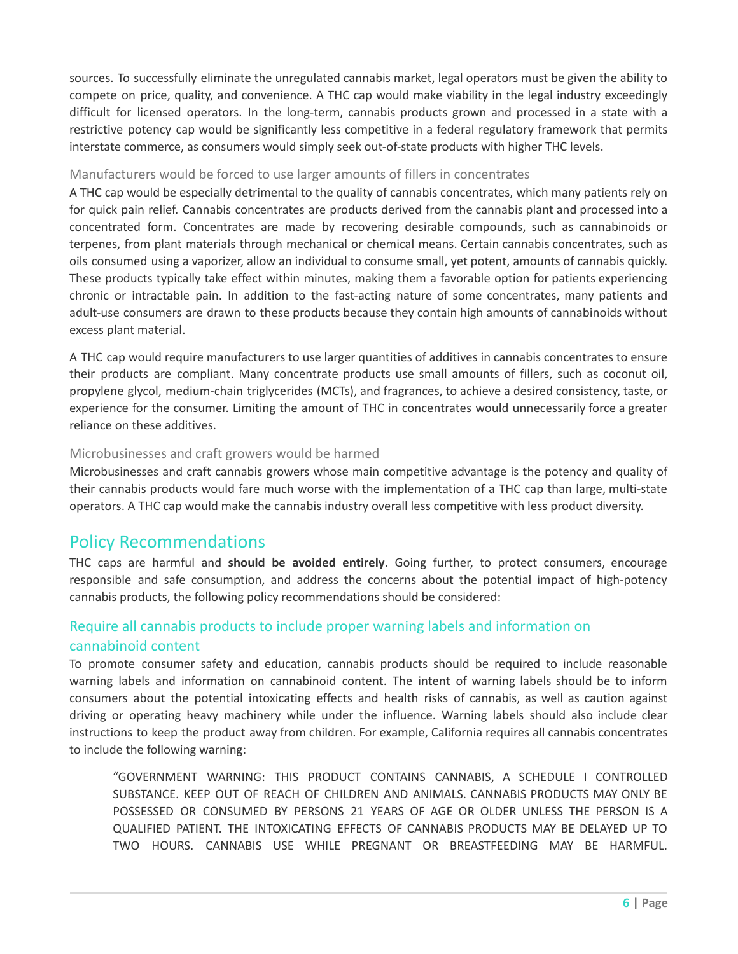sources. To successfully eliminate the unregulated cannabis market, legal operators must be given the ability to compete on price, quality, and convenience. A THC cap would make viability in the legal industry exceedingly difficult for licensed operators. In the long-term, cannabis products grown and processed in a state with a restrictive potency cap would be significantly less competitive in a federal regulatory framework that permits interstate commerce, as consumers would simply seek out-of-state products with higher THC levels.

#### Manufacturers would be forced to use larger amounts of fillers in concentrates

A THC cap would be especially detrimental to the quality of cannabis concentrates, which many patients rely on for quick pain relief. Cannabis concentrates are products derived from the cannabis plant and processed into a concentrated form. Concentrates are made by recovering desirable compounds, such as cannabinoids or terpenes, from plant materials through mechanical or chemical means. Certain cannabis concentrates, such as oils consumed using a vaporizer, allow an individual to consume small, yet potent, amounts of cannabis quickly. These products typically take effect within minutes, making them a favorable option for patients experiencing chronic or intractable pain. In addition to the fast-acting nature of some concentrates, many patients and adult-use consumers are drawn to these products because they contain high amounts of cannabinoids without excess plant material.

A THC cap would require manufacturers to use larger quantities of additives in cannabis concentrates to ensure their products are compliant. Many concentrate products use small amounts of fillers, such as coconut oil, propylene glycol, medium-chain triglycerides (MCTs), and fragrances, to achieve a desired consistency, taste, or experience for the consumer. Limiting the amount of THC in concentrates would unnecessarily force a greater reliance on these additives.

#### Microbusinesses and craft growers would be harmed

Microbusinesses and craft cannabis growers whose main competitive advantage is the potency and quality of their cannabis products would fare much worse with the implementation of a THC cap than large, multi-state operators. A THC cap would make the cannabis industry overall less competitive with less product diversity.

## Policy Recommendations

THC caps are harmful and **should be avoided entirely**. Going further, to protect consumers, encourage responsible and safe consumption, and address the concerns about the potential impact of high-potency cannabis products, the following policy recommendations should be considered:

### Require all cannabis products to include proper warning labels and information on cannabinoid content

To promote consumer safety and education, cannabis products should be required to include reasonable warning labels and information on cannabinoid content. The intent of warning labels should be to inform consumers about the potential intoxicating effects and health risks of cannabis, as well as caution against driving or operating heavy machinery while under the influence. Warning labels should also include clear instructions to keep the product away from children. For example, California requires all cannabis concentrates to include the following warning:

"GOVERNMENT WARNING: THIS PRODUCT CONTAINS CANNABIS, A SCHEDULE I CONTROLLED SUBSTANCE. KEEP OUT OF REACH OF CHILDREN AND ANIMALS. CANNABIS PRODUCTS MAY ONLY BE POSSESSED OR CONSUMED BY PERSONS 21 YEARS OF AGE OR OLDER UNLESS THE PERSON IS A QUALIFIED PATIENT. THE INTOXICATING EFFECTS OF CANNABIS PRODUCTS MAY BE DELAYED UP TO TWO HOURS. CANNABIS USE WHILE PREGNANT OR BREASTFEEDING MAY BE HARMFUL.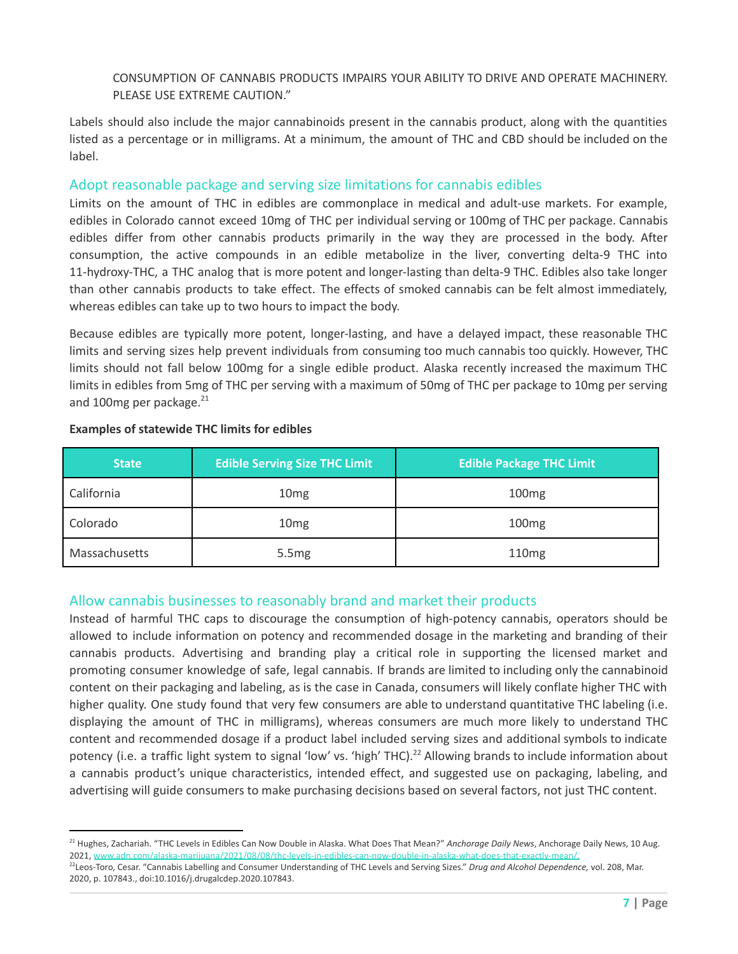#### CONSUMPTION OF CANNABIS PRODUCTS IMPAIRS YOUR ABILITY TO DRIVE AND OPERATE MACHINERY. PLEASE USE EXTREME CAUTION."

Labels should also include the major cannabinoids present in the cannabis product, along with the quantities listed as a percentage or in milligrams. At a minimum, the amount of THC and CBD should be included on the label.

#### Adopt reasonable package and serving size limitations for cannabis edibles

Limits on the amount of THC in edibles are commonplace in medical and adult-use markets. For example, edibles in Colorado cannot exceed 10mg of THC per individual serving or 100mg of THC per package. Cannabis edibles differ from other cannabis products primarily in the way they are processed in the body. After consumption, the active compounds in an edible metabolize in the liver, converting delta-9 THC into 11-hydroxy-THC, a THC analog that is more potent and longer-lasting than delta-9 THC. Edibles also take longer than other cannabis products to take effect. The effects of smoked cannabis can be felt almost immediately, whereas edibles can take up to two hours to impact the body.

Because edibles are typically more potent, longer-lasting, and have a delayed impact, these reasonable THC limits and serving sizes help prevent individuals from consuming too much cannabis too quickly. However, THC limits should not fall below 100mg for a single edible product. Alaska recently increased the maximum THC limits in edibles from 5mg of THC per serving with a maximum of 50mg of THC per package to 10mg per serving and 100mg per package.<sup>21</sup>

| <b>State</b>  | <b>Edible Serving Size THC Limit</b> | <b>Edible Package THC Limit</b> |
|---------------|--------------------------------------|---------------------------------|
| California    | 10 <sub>mg</sub>                     | 100 <sub>mg</sub>               |
| Colorado      | 10 <sub>mg</sub>                     | 100mg                           |
| Massachusetts | 5.5 <sub>mg</sub>                    | 110 <sub>mg</sub>               |

#### **Examples of statewide THC limits for edibles**

#### Allow cannabis businesses to reasonably brand and market their products

Instead of harmful THC caps to discourage the consumption of high-potency cannabis, operators should be allowed to include information on potency and recommended dosage in the marketing and branding of their cannabis products. Advertising and branding play a critical role in supporting the licensed market and promoting consumer knowledge of safe, legal cannabis. If brands are limited to including only the cannabinoid content on their packaging and labeling, as is the case in Canada, consumers will likely conflate higher THC with higher quality. One study found that very few consumers are able to understand quantitative THC labeling (i.e. displaying the amount of THC in milligrams), whereas consumers are much more likely to understand THC content and recommended dosage if a product label included serving sizes and additional symbols to indicate potency (i.e. a traffic light system to signal 'low' vs. 'high' THC). $^{22}$  Allowing brands to include information about a cannabis product's unique characteristics, intended effect, and suggested use on packaging, labeling, and advertising will guide consumers to make purchasing decisions based on several factors, not just THC content.

<sup>22</sup>Leos-Toro, Cesar. "Cannabis Labelling and Consumer Understanding of THC Levels and Serving Sizes." *Drug and Alcohol Dependence,* vol. 208, Mar. <sup>21</sup> Hughes, Zachariah. "THC Levels in Edibles Can Now Double in Alaska. What Does That Mean?" *Anchorage Daily News*, Anchorage Daily News, 10 Aug. 2021, www.adn.com/alaska-marijuana/2021/08/08/thc-levels-in-edibles-can-now-double-in-alaska-what-does-that-exactly-mean/.

<sup>2020,</sup> p. 107843., doi:10.1016/j.drugalcdep.2020.107843.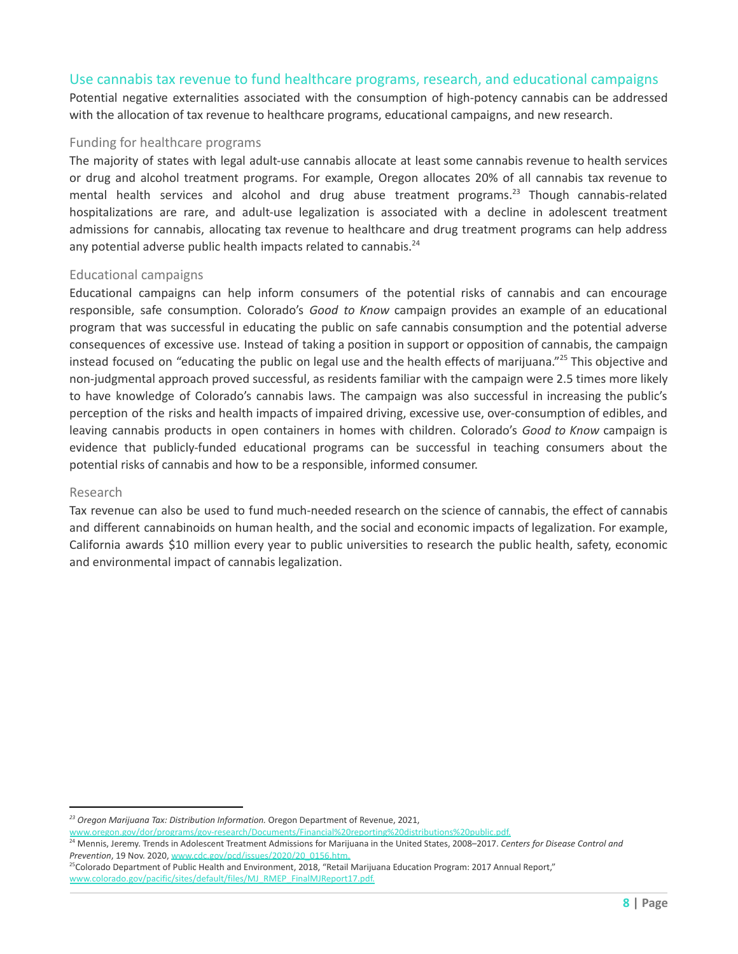#### Use cannabis tax revenue to fund healthcare programs, research, and educational campaigns

Potential negative externalities associated with the consumption of high-potency cannabis can be addressed with the allocation of tax revenue to healthcare programs, educational campaigns, and new research.

#### Funding for healthcare programs

The majority of states with legal adult-use cannabis allocate at least some cannabis revenue to health services or drug and alcohol treatment programs. For example, Oregon allocates 20% of all cannabis tax revenue to mental health services and alcohol and drug abuse treatment programs.<sup>23</sup> Though cannabis-related hospitalizations are rare, and adult-use legalization is associated with a decline in adolescent treatment admissions for cannabis, allocating tax revenue to healthcare and drug treatment programs can help address any potential adverse public health impacts related to cannabis.<sup>24</sup>

#### Educational campaigns

Educational campaigns can help inform consumers of the potential risks of cannabis and can encourage responsible, safe consumption. Colorado's *Good to Know* campaign provides an example of an educational program that was successful in educating the public on safe cannabis consumption and the potential adverse consequences of excessive use. Instead of taking a position in support or opposition of cannabis, the campaign instead focused on "educating the public on legal use and the health effects of marijuana."<sup>25</sup> This objective and non-judgmental approach proved successful, as residents familiar with the campaign were 2.5 times more likely to have knowledge of Colorado's cannabis laws. The campaign was also successful in increasing the public's perception of the risks and health impacts of impaired driving, excessive use, over-consumption of edibles, and leaving cannabis products in open containers in homes with children. Colorado's *Good to Know* campaign is evidence that publicly-funded educational programs can be successful in teaching consumers about the potential risks of cannabis and how to be a responsible, informed consumer.

#### Research

Tax revenue can also be used to fund much-needed research on the science of cannabis, the effect of cannabis and different cannabinoids on human health, and the social and economic impacts of legalization. For example, California awards \$10 million every year to public universities to research the public health, safety, economic and environmental impact of cannabis legalization.

*<sup>23</sup> Oregon Marijuana Tax: Distribution Information.* Oregon Department of Revenue, 2021,

[www.oregon.gov/dor/programs/gov-research/Documents/Financial%20reporting%20distributions%20public.pdf.](http://www.oregon.gov/dor/programs/gov-research/Documents/Financial%20reporting%20distributions%20public.pdf.)

<sup>24</sup> Mennis, Jeremy. Trends in Adolescent Treatment Admissions for Marijuana in the United States, 2008–2017. *Centers for Disease Control and Prevention*, 19 Nov. 2020, [www.cdc.gov/pcd/issues/2020/20\\_0156.htm.](http://www.cdc.gov/pcd/issues/2020/20_0156.htm.)

<sup>&</sup>lt;sup>25</sup>Colorado Department of Public Health and Environment, 2018, "Retail Marijuana Education Program: 2017 Annual Report," [www.colorado.gov/pacific/sites/default/files/MJ\\_RMEP\\_FinalMJReport17.pdf.](http://www.colorado.gov/pacific/sites/default/files/MJ_RMEP_FinalMJReport17.pdf.)